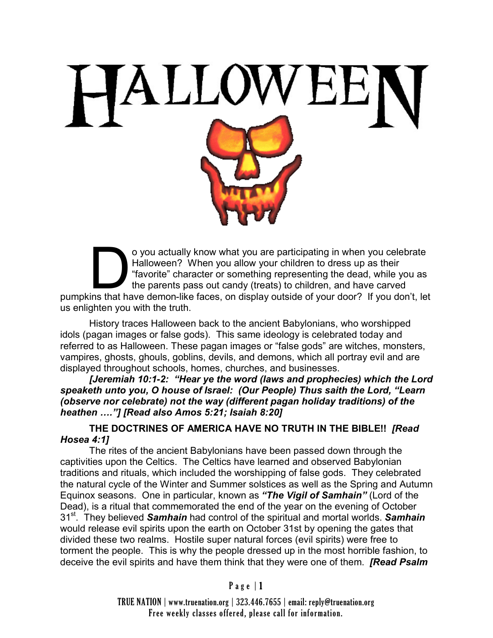

o you actually know what you are participating in when you celebrate<br>Halloween? When you allow your children to dress up as their<br>"favorite" character or something representing the dead, while you as<br>the parents pass out c o you actually know what you are participating in when you celebrate Halloween? When you allow your children to dress up as their "favorite" character or something representing the dead, while you as the parents pass out candy (treats) to children, and have carved us enlighten you with the truth.

History traces Halloween back to the ancient Babylonians, who worshipped idols (pagan images or false gods). This same ideology is celebrated today and referred to as Halloween. These pagan images or "false gods" are witches, monsters, vampires, ghosts, ghouls, goblins, devils, and demons, which all portray evil and are displayed throughout schools, homes, churches, and businesses.

*[Jeremiah 10:1-2: "Hear ye the word (laws and prophecies) which the Lord speaketh unto you, O house of Israel: (Our People) Thus saith the Lord, "Learn (observe nor celebrate) not the way (different pagan holiday traditions) of the heathen …."] [Read also Amos 5:21; Isaiah 8:20]*

**THE DOCTRINES OF AMERICA HAVE NO TRUTH IN THE BIBLE!!** *[Read Hosea 4:1]*

The rites of the ancient Babylonians have been passed down through the captivities upon the Celtics. The Celtics have learned and observed Babylonian traditions and rituals, which included the worshipping of false gods. They celebrated the natural cycle of the Winter and Summer solstices as well as the Spring and Autumn Equinox seasons. One in particular, known as *"The Vigil of Samhain"* (Lord of the Dead), is a ritual that commemorated the end of the year on the evening of October 31st. They believed *Samhain* had control of the spiritual and mortal worlds. *Samhain* would release evil spirits upon the earth on October 31st by opening the gates that divided these two realms. Hostile super natural forces (evil spirits) were free to torment the people. This is why the people dressed up in the most horrible fashion, to deceive the evil spirits and have them think that they were one of them. *[Read Psalm* 

TRUE NATION | www.truenation.org | 323.446.7655 | email: reply@truenation.org Free weekly classes offered, please call for information.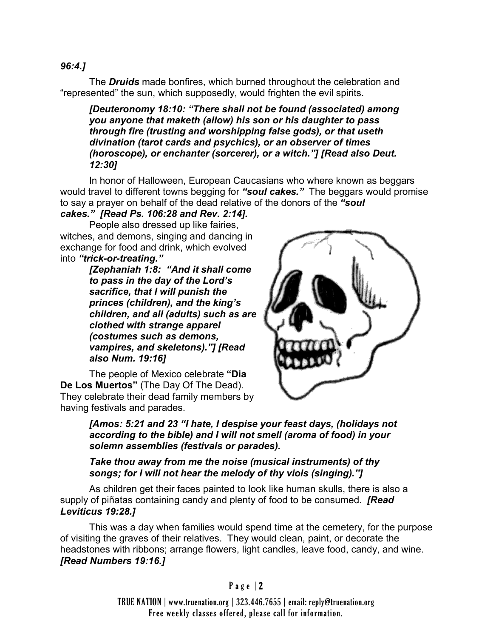## *96:4.]*

The *Druids* made bonfires, which burned throughout the celebration and "represented" the sun, which supposedly, would frighten the evil spirits.

*[Deuteronomy 18:10: "There shall not be found (associated) among you anyone that maketh (allow) his son or his daughter to pass through fire (trusting and worshipping false gods), or that useth divination (tarot cards and psychics), or an observer of times (horoscope), or enchanter (sorcerer), or a witch."] [Read also Deut. 12:30]*

In honor of Halloween, European Caucasians who where known as beggars would travel to different towns begging for *"soul cakes."* The beggars would promise to say a prayer on behalf of the dead relative of the donors of the *"soul* 

# *cakes." [Read Ps. 106:28 and Rev. 2:14].*

People also dressed up like fairies, witches, and demons, singing and dancing in exchange for food and drink, which evolved into *"trick-or-treating."*

> *[Zephaniah 1:8: "And it shall come to pass in the day of the Lord's sacrifice, that I will punish the princes (children), and the king's children, and all (adults) such as are clothed with strange apparel (costumes such as demons, vampires, and skeletons)."] [Read also Num. 19:16]*

The people of Mexico celebrate **"Dia De Los Muertos"** (The Day Of The Dead). They celebrate their dead family members by having festivals and parades.



*[Amos: 5:21 and 23 "I hate, I despise your feast days, (holidays not according to the bible) and I will not smell (aroma of food) in your solemn assemblies (festivals or parades).* 

# *Take thou away from me the noise (musical instruments) of thy songs; for I will not hear the melody of thy viols (singing)."]*

As children get their faces painted to look like human skulls, there is also a supply of piñatas containing candy and plenty of food to be consumed. *[Read Leviticus 19:28.]*

This was a day when families would spend time at the cemetery, for the purpose of visiting the graves of their relatives. They would clean, paint, or decorate the headstones with ribbons; arrange flowers, light candles, leave food, candy, and wine. *[Read Numbers 19:16.]*

TRUE NATION | www.truenation.org | 323.446.7655 | email: reply@truenation.org Free weekly classes offered, please call for information.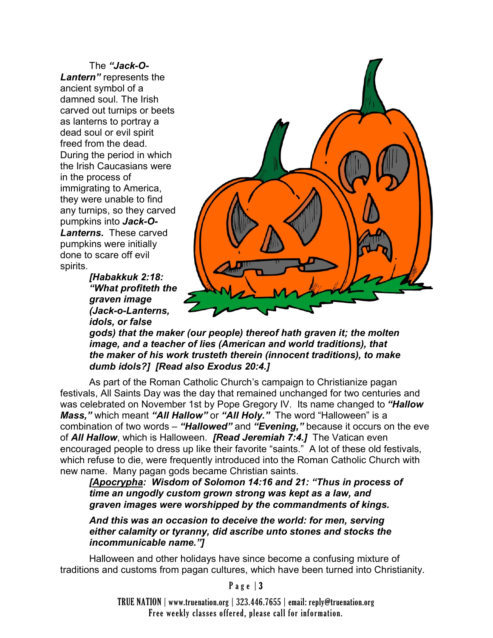The *"Jack-O-Lantern"* represents the ancient symbol of a damned soul. The Irish carved out turnips or beets as lanterns to portray a dead soul or evil spirit freed from the dead. During the period in which the Irish Caucasians were in the process of immigrating to America, they were unable to find any turnips, so they carved pumpkins into *Jack-O-Lanterns.* These carved pumpkins were initially done to scare off evil spirits.

*[Habakkuk 2:18: "What profiteth the graven image (Jack-o-Lanterns, idols, or false* 



*gods) that the maker (our people) thereof hath graven it; the molten image, and a teacher of lies (American and world traditions), that the maker of his work trusteth therein (innocent traditions), to make dumb idols?] [Read also Exodus 20:4.]* 

As part of the Roman Catholic Church's campaign to Christianize pagan festivals, All Saints Day was the day that remained unchanged for two centuries and was celebrated on November 1st by Pope Gregory IV. Its name changed to *"Hallow Mass,"* which meant *"All Hallow"* or *"All Holy."* The word "Halloween" is a combination of two words – *"Hallowed"* and *"Evening,"* because it occurs on the eve of *All Hallow*, which is Halloween. *[Read Jeremiah 7:4.]* The Vatican even encouraged people to dress up like their favorite "saints." A lot of these old festivals, which refuse to die, were frequently introduced into the Roman Catholic Church with new name. Many pagan gods became Christian saints.

*[Apocrypha: Wisdom of Solomon 14:16 and 21: "Thus in process of time an ungodly custom grown strong was kept as a law, and graven images were worshipped by the commandments of kings.* 

*And this was an occasion to deceive the world: for men, serving either calamity or tyranny, did ascribe unto stones and stocks the incommunicable name."]*

Halloween and other holidays have since become a confusing mixture of traditions and customs from pagan cultures, which have been turned into Christianity.

#### Page  $|3|$

TRUE NATION | www.truenation.org | 323.446.7655 | email: reply@truenation.org Free weekly classes offered, please call for information.